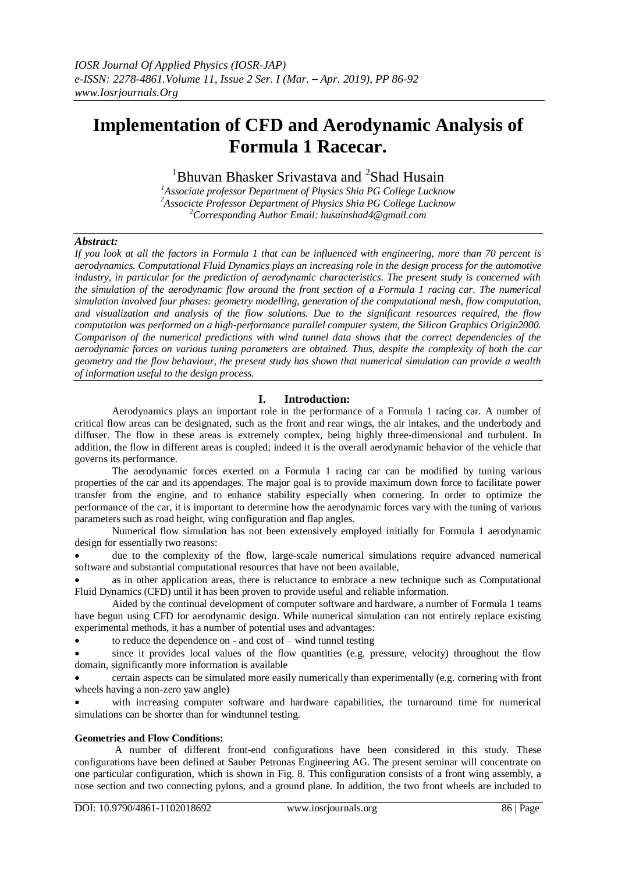# **Implementation of CFD and Aerodynamic Analysis of Formula 1 Racecar.**

<sup>1</sup>Bhuvan Bhasker Srivastava and <sup>2</sup>Shad Husain

*<sup>1</sup>Associate professor Department of Physics Shia PG College Lucknow <sup>2</sup>Associcte Professor Department of Physics Shia PG College Lucknow <sup>2</sup>Corresponding Author Email: husainshad4@gmail.com*

#### *Abstract:*

*If you look at all the factors in Formula 1 that can be influenced with engineering, more than 70 percent is aerodynamics. Computational Fluid Dynamics plays an increasing role in the design process for the automotive industry, in particular for the prediction of aerodynamic characteristics. The present study is concerned with the simulation of the aerodynamic flow around the front section of a Formula 1 racing car. The numerical simulation involved four phases: geometry modelling, generation of the computational mesh, flow computation, and visualization and analysis of the flow solutions. Due to the significant resources required, the flow computation was performed on a high-performance parallel computer system, the Silicon Graphics Origin2000. Comparison of the numerical predictions with wind tunnel data shows that the correct dependencies of the aerodynamic forces on various tuning parameters are obtained. Thus, despite the complexity of both the car geometry and the flow behaviour, the present study has shown that numerical simulation can provide a wealth of information useful to the design process.*

#### **I. Introduction:**

 Aerodynamics plays an important role in the performance of a Formula 1 racing car. A number of critical flow areas can be designated, such as the front and rear wings, the air intakes, and the underbody and diffuser. The flow in these areas is extremely complex, being highly three-dimensional and turbulent. In addition, the flow in different areas is coupled; indeed it is the overall aerodynamic behavior of the vehicle that governs its performance.

 The aerodynamic forces exerted on a Formula 1 racing car can be modified by tuning various properties of the car and its appendages. The major goal is to provide maximum down force to facilitate power transfer from the engine, and to enhance stability especially when cornering. In order to optimize the performance of the car, it is important to determine how the aerodynamic forces vary with the tuning of various parameters such as road height, wing configuration and flap angles.

Numerical flow simulation has not been extensively employed initially for Formula 1 aerodynamic design for essentially two reasons:

 due to the complexity of the flow, large-scale numerical simulations require advanced numerical software and substantial computational resources that have not been available,

 as in other application areas, there is reluctance to embrace a new technique such as Computational Fluid Dynamics (CFD) until it has been proven to provide useful and reliable information.

 Aided by the continual development of computer software and hardware, a number of Formula 1 teams have begun using CFD for aerodynamic design. While numerical simulation can not entirely replace existing experimental methods, it has a number of potential uses and advantages:

to reduce the dependence on - and cost of – wind tunnel testing

since it provides local values of the flow quantities (e.g. pressure, velocity) throughout the flow domain, significantly more information is available

 certain aspects can be simulated more easily numerically than experimentally (e.g. cornering with front wheels having a non-zero yaw angle)

 with increasing computer software and hardware capabilities, the turnaround time for numerical simulations can be shorter than for windtunnel testing.

#### **Geometries and Flow Conditions:**

 A number of different front-end configurations have been considered in this study. These configurations have been defined at Sauber Petronas Engineering AG. The present seminar will concentrate on one particular configuration, which is shown in Fig. 8. This configuration consists of a front wing assembly, a nose section and two connecting pylons, and a ground plane. In addition, the two front wheels are included to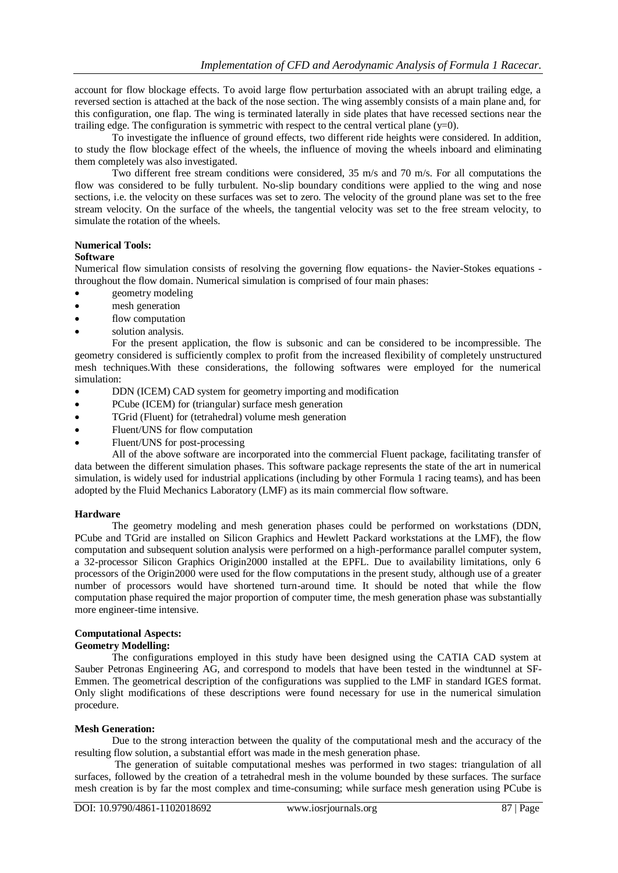account for flow blockage effects. To avoid large flow perturbation associated with an abrupt trailing edge, a reversed section is attached at the back of the nose section. The wing assembly consists of a main plane and, for this configuration, one flap. The wing is terminated laterally in side plates that have recessed sections near the trailing edge. The configuration is symmetric with respect to the central vertical plane  $(y=0)$ .

 To investigate the influence of ground effects, two different ride heights were considered. In addition, to study the flow blockage effect of the wheels, the influence of moving the wheels inboard and eliminating them completely was also investigated.

 Two different free stream conditions were considered, 35 m/s and 70 m/s. For all computations the flow was considered to be fully turbulent. No-slip boundary conditions were applied to the wing and nose sections, i.e. the velocity on these surfaces was set to zero. The velocity of the ground plane was set to the free stream velocity. On the surface of the wheels, the tangential velocity was set to the free stream velocity, to simulate the rotation of the wheels.

#### **Numerical Tools:**

#### **Software**

Numerical flow simulation consists of resolving the governing flow equations- the Navier-Stokes equations throughout the flow domain. Numerical simulation is comprised of four main phases:

- geometry modeling
- mesh generation
- flow computation
- solution analysis.

 For the present application, the flow is subsonic and can be considered to be incompressible. The geometry considered is sufficiently complex to profit from the increased flexibility of completely unstructured mesh techniques.With these considerations, the following softwares were employed for the numerical simulation:

- DDN (ICEM) CAD system for geometry importing and modification
- PCube (ICEM) for (triangular) surface mesh generation
- TGrid (Fluent) for (tetrahedral) volume mesh generation
- Fluent/UNS for flow computation
- Fluent/UNS for post-processing

All of the above software are incorporated into the commercial Fluent package, facilitating transfer of data between the different simulation phases. This software package represents the state of the art in numerical simulation, is widely used for industrial applications (including by other Formula 1 racing teams), and has been adopted by the Fluid Mechanics Laboratory (LMF) as its main commercial flow software.

#### **Hardware**

The geometry modeling and mesh generation phases could be performed on workstations (DDN, PCube and TGrid are installed on Silicon Graphics and Hewlett Packard workstations at the LMF), the flow computation and subsequent solution analysis were performed on a high-performance parallel computer system, a 32-processor Silicon Graphics Origin2000 installed at the EPFL. Due to availability limitations, only 6 processors of the Origin2000 were used for the flow computations in the present study, although use of a greater number of processors would have shortened turn-around time. It should be noted that while the flow computation phase required the major proportion of computer time, the mesh generation phase was substantially more engineer-time intensive.

# **Computational Aspects:**

## **Geometry Modelling:**

 The configurations employed in this study have been designed using the CATIA CAD system at Sauber Petronas Engineering AG, and correspond to models that have been tested in the windtunnel at SF-Emmen. The geometrical description of the configurations was supplied to the LMF in standard IGES format. Only slight modifications of these descriptions were found necessary for use in the numerical simulation procedure.

#### **Mesh Generation:**

Due to the strong interaction between the quality of the computational mesh and the accuracy of the resulting flow solution, a substantial effort was made in the mesh generation phase.

 The generation of suitable computational meshes was performed in two stages: triangulation of all surfaces, followed by the creation of a tetrahedral mesh in the volume bounded by these surfaces. The surface mesh creation is by far the most complex and time-consuming; while surface mesh generation using PCube is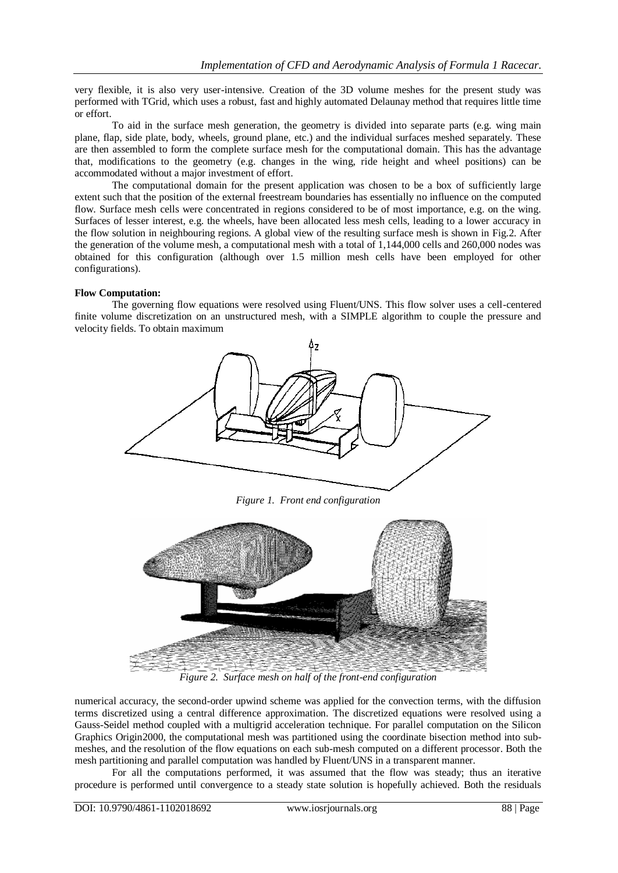very flexible, it is also very user-intensive. Creation of the 3D volume meshes for the present study was performed with TGrid, which uses a robust, fast and highly automated Delaunay method that requires little time or effort.

 To aid in the surface mesh generation, the geometry is divided into separate parts (e.g. wing main plane, flap, side plate, body, wheels, ground plane, etc.) and the individual surfaces meshed separately. These are then assembled to form the complete surface mesh for the computational domain. This has the advantage that, modifications to the geometry (e.g. changes in the wing, ride height and wheel positions) can be accommodated without a major investment of effort.

 The computational domain for the present application was chosen to be a box of sufficiently large extent such that the position of the external freestream boundaries has essentially no influence on the computed flow. Surface mesh cells were concentrated in regions considered to be of most importance, e.g. on the wing. Surfaces of lesser interest, e.g. the wheels, have been allocated less mesh cells, leading to a lower accuracy in the flow solution in neighbouring regions. A global view of the resulting surface mesh is shown in Fig.2. After the generation of the volume mesh, a computational mesh with a total of 1,144,000 cells and 260,000 nodes was obtained for this configuration (although over 1.5 million mesh cells have been employed for other configurations).

#### **Flow Computation:**

 The governing flow equations were resolved using Fluent/UNS. This flow solver uses a cell-centered finite volume discretization on an unstructured mesh, with a SIMPLE algorithm to couple the pressure and velocity fields. To obtain maximum



*Figure 1. Front end configuration*



*Figure 2. Surface mesh on half of the front-end configuration*

numerical accuracy, the second-order upwind scheme was applied for the convection terms, with the diffusion terms discretized using a central difference approximation. The discretized equations were resolved using a Gauss-Seidel method coupled with a multigrid acceleration technique. For parallel computation on the Silicon Graphics Origin2000, the computational mesh was partitioned using the coordinate bisection method into submeshes, and the resolution of the flow equations on each sub-mesh computed on a different processor. Both the mesh partitioning and parallel computation was handled by Fluent/UNS in a transparent manner.

 For all the computations performed, it was assumed that the flow was steady; thus an iterative procedure is performed until convergence to a steady state solution is hopefully achieved. Both the residuals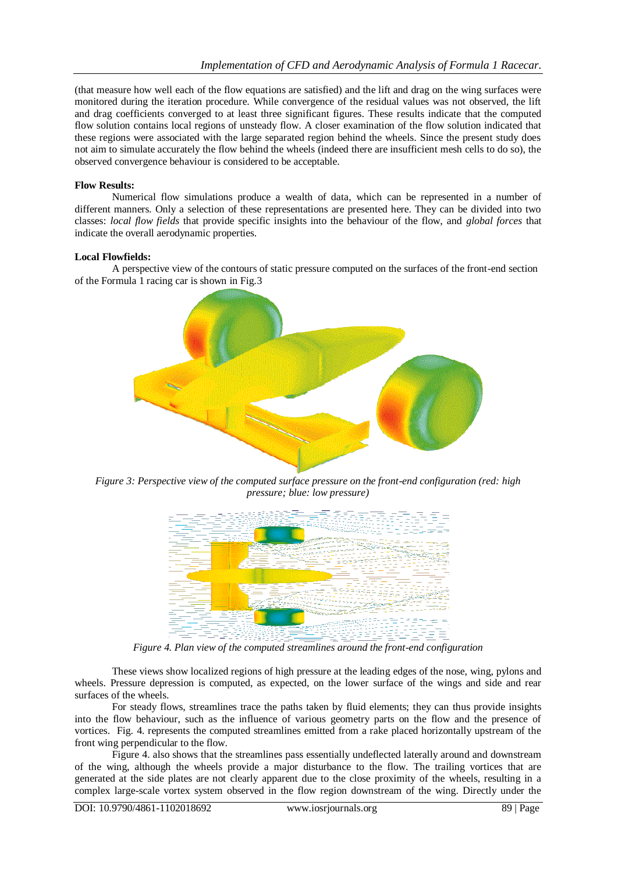(that measure how well each of the flow equations are satisfied) and the lift and drag on the wing surfaces were monitored during the iteration procedure. While convergence of the residual values was not observed, the lift and drag coefficients converged to at least three significant figures. These results indicate that the computed flow solution contains local regions of unsteady flow. A closer examination of the flow solution indicated that these regions were associated with the large separated region behind the wheels. Since the present study does not aim to simulate accurately the flow behind the wheels (indeed there are insufficient mesh cells to do so), the observed convergence behaviour is considered to be acceptable.

#### **Flow Results:**

 Numerical flow simulations produce a wealth of data, which can be represented in a number of different manners. Only a selection of these representations are presented here. They can be divided into two classes: *local flow fields* that provide specific insights into the behaviour of the flow, and *global forces* that indicate the overall aerodynamic properties.

#### **Local Flowfields:**

 A perspective view of the contours of static pressure computed on the surfaces of the front-end section of the Formula 1 racing car is shown in Fig.3



*Figure 3: Perspective view of the computed surface pressure on the front-end configuration (red: high pressure; blue: low pressure)*



*Figure 4. Plan view of the computed streamlines around the front-end configuration* 

These views show localized regions of high pressure at the leading edges of the nose, wing, pylons and wheels. Pressure depression is computed, as expected, on the lower surface of the wings and side and rear surfaces of the wheels.

 For steady flows, streamlines trace the paths taken by fluid elements; they can thus provide insights into the flow behaviour, such as the influence of various geometry parts on the flow and the presence of vortices. Fig. 4. represents the computed streamlines emitted from a rake placed horizontally upstream of the front wing perpendicular to the flow.

 Figure 4. also shows that the streamlines pass essentially undeflected laterally around and downstream of the wing, although the wheels provide a major disturbance to the flow. The trailing vortices that are generated at the side plates are not clearly apparent due to the close proximity of the wheels, resulting in a complex large-scale vortex system observed in the flow region downstream of the wing. Directly under the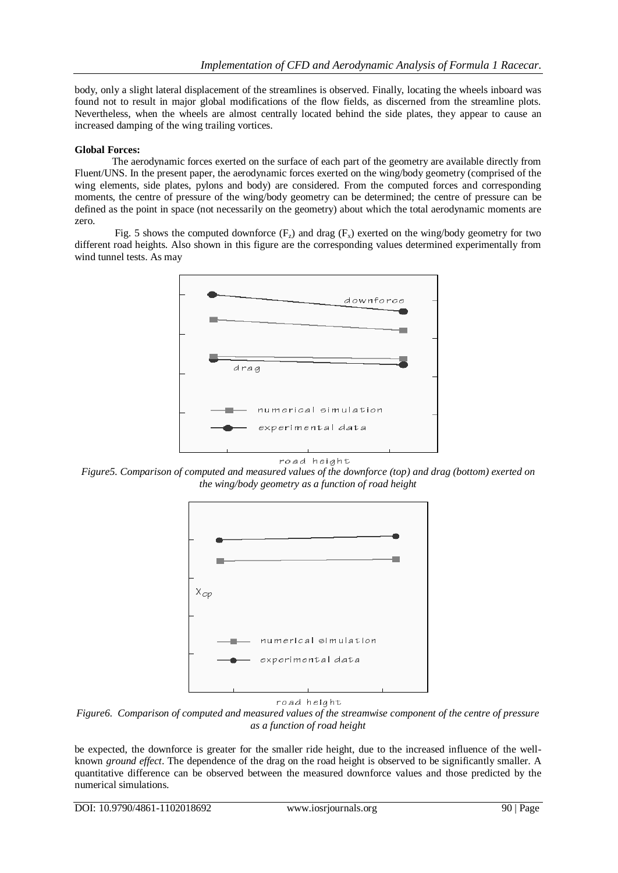body, only a slight lateral displacement of the streamlines is observed. Finally, locating the wheels inboard was found not to result in major global modifications of the flow fields, as discerned from the streamline plots. Nevertheless, when the wheels are almost centrally located behind the side plates, they appear to cause an increased damping of the wing trailing vortices.

### **Global Forces:**

 The aerodynamic forces exerted on the surface of each part of the geometry are available directly from Fluent/UNS. In the present paper, the aerodynamic forces exerted on the wing/body geometry (comprised of the wing elements, side plates, pylons and body) are considered. From the computed forces and corresponding moments, the centre of pressure of the wing/body geometry can be determined; the centre of pressure can be defined as the point in space (not necessarily on the geometry) about which the total aerodynamic moments are zero.

Fig. 5 shows the computed downforce  $(F_z)$  and drag  $(F_x)$  exerted on the wing/body geometry for two different road heights. Also shown in this figure are the corresponding values determined experimentally from wind tunnel tests. As may



*Figure5. Comparison of computed and measured values of the downforce (top) and drag (bottom) exerted on the wing/body geometry as a function of road height*



#### road height

*Figure6. Comparison of computed and measured values of the streamwise component of the centre of pressure as a function of road height*

be expected, the downforce is greater for the smaller ride height, due to the increased influence of the wellknown *ground effect*. The dependence of the drag on the road height is observed to be significantly smaller. A quantitative difference can be observed between the measured downforce values and those predicted by the numerical simulations.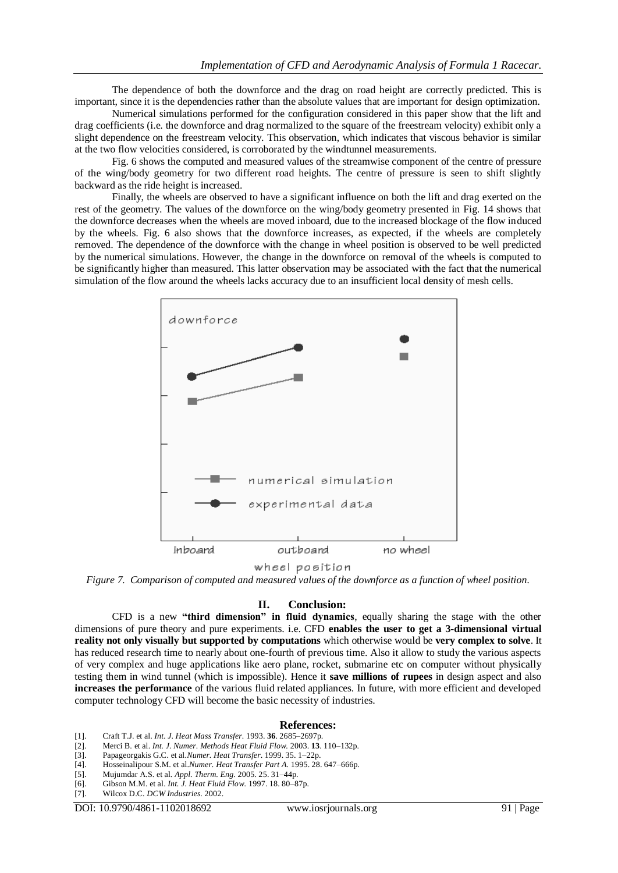The dependence of both the downforce and the drag on road height are correctly predicted. This is important, since it is the dependencies rather than the absolute values that are important for design optimization.

 Numerical simulations performed for the configuration considered in this paper show that the lift and drag coefficients (i.e. the downforce and drag normalized to the square of the freestream velocity) exhibit only a slight dependence on the freestream velocity. This observation, which indicates that viscous behavior is similar at the two flow velocities considered, is corroborated by the windtunnel measurements.

 Fig. 6 shows the computed and measured values of the streamwise component of the centre of pressure of the wing/body geometry for two different road heights. The centre of pressure is seen to shift slightly backward as the ride height is increased.

 Finally, the wheels are observed to have a significant influence on both the lift and drag exerted on the rest of the geometry. The values of the downforce on the wing/body geometry presented in Fig. 14 shows that the downforce decreases when the wheels are moved inboard, due to the increased blockage of the flow induced by the wheels. Fig. 6 also shows that the downforce increases, as expected, if the wheels are completely removed. The dependence of the downforce with the change in wheel position is observed to be well predicted by the numerical simulations. However, the change in the downforce on removal of the wheels is computed to be significantly higher than measured. This latter observation may be associated with the fact that the numerical simulation of the flow around the wheels lacks accuracy due to an insufficient local density of mesh cells.



wheel position

*Figure 7. Comparison of computed and measured values of the downforce as a function of wheel position.*

#### **II. Conclusion:**

CFD is a new **"third dimension" in fluid dynamics**, equally sharing the stage with the other dimensions of pure theory and pure experiments. i.e. CFD **enables the user to get a 3-dimensional virtual reality not only visually but supported by computations** which otherwise would be **very complex to solve**. It has reduced research time to nearly about one-fourth of previous time. Also it allow to study the various aspects of very complex and huge applications like aero plane, rocket, submarine etc on computer without physically testing them in wind tunnel (which is impossible). Hence it **save millions of rupees** in design aspect and also **increases the performance** of the various fluid related appliances. In future, with more efficient and developed computer technology CFD will become the basic necessity of industries.

#### **References:**

- [1]. Craft T.J. et al. *Int. J. Heat Mass Transfer.* 1993. **36**. 2685–2697p.
- [2]. Merci B. et al. *Int. J. Numer. Methods Heat Fluid Flow.* 2003. **13**. 110–132p.
- [3]. Papageorgakis G.C. et al.*Numer. Heat Transfer*. 1999. 35. 1–22p.
- Hosseinalipour S.M. et al.*Numer. Heat Transfer Part A.* 1995. 28. 647-666p.
- [5]. Mujumdar A.S. et al. *Appl. Therm. Eng.* 2005. 25. 31–44p.
- [6]. Gibson M.M. et al. *Int. J. Heat Fluid Flow.* 1997. 18. 80–87p.
- [7]. Wilcox D.C. *DCW Industries.* 2002.